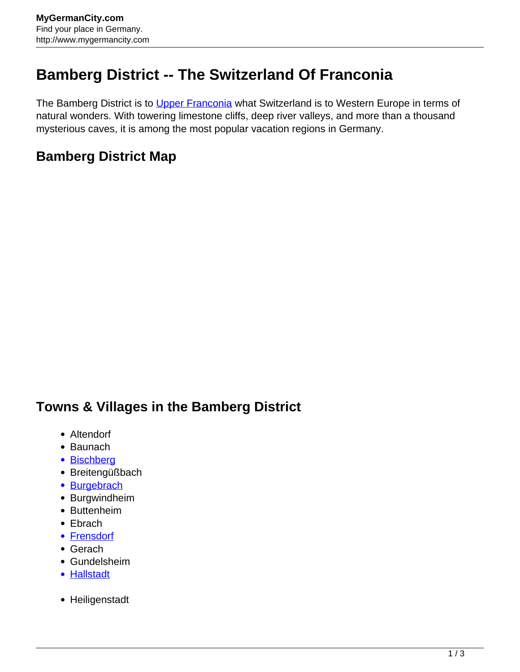## **Bamberg District -- The Switzerland Of Franconia**

The Bamberg District is to [Upper Franconia](http://www.mygermancity.com/upper-franconia) what Switzerland is to Western Europe in terms of natural wonders. With towering limestone cliffs, deep river valleys, and more than a thousand mysterious caves, it is among the most popular vacation regions in Germany.

## **Bamberg District Map**

## **Towns & Villages in the Bamberg District**

- Altendorf
- Baunach
- [Bischberg](http://www.mygermancity.com/bischberg)
- Breitengüßbach
- [Burgebrach](http://www.mygermancity.com/burgebrach)
- Burgwindheim
- Buttenheim
- Ebrach
- [Frensdorf](http://www.mygermancity.com/frensdorf)
- Gerach
- Gundelsheim
- [Hallstadt](http://www.mygermancity.com/hallstadt)
- Heiligenstadt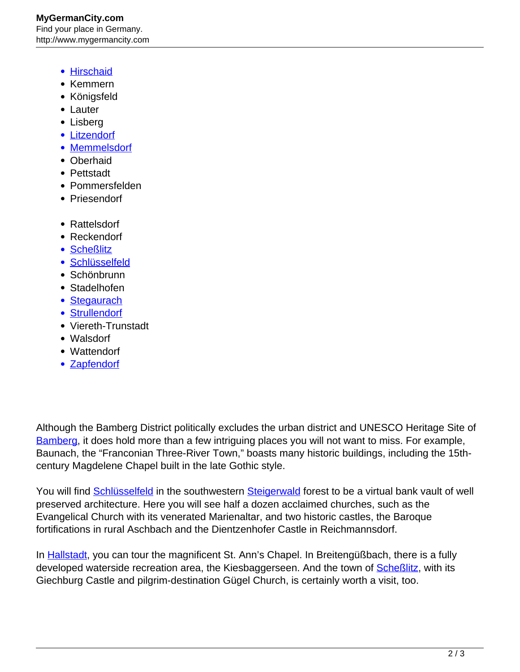- [Hirschaid](http://www.mygermancity.com/hirschaid)
- Kemmern
- Königsfeld
- Lauter
- Lisberg
- [Litzendorf](http://www.mygermancity.com/litzendorf)
- [Memmelsdorf](http://www.mygermancity.com/memmelsdorf)
- Oberhaid
- Pettstadt
- Pommersfelden
- Priesendorf
- Rattelsdorf
- Reckendorf
- [Scheßlitz](http://www.mygermancity.com/schesslitz)
- [Schlüsselfeld](http://www.mygermancity.com/schluesselfeld)
- Schönbrunn
- Stadelhofen
- [Stegaurach](http://www.mygermancity.com/stegaurach)
- [Strullendorf](http://www.mygermancity.com/strullendorf)
- Viereth-Trunstadt
- Walsdorf
- Wattendorf
- [Zapfendorf](http://www.mygermancity.com/zapfendorf)

Although the Bamberg District politically excludes the urban district and UNESCO Heritage Site of [Bamberg](http://www.mygermancity.com/bamberg), it does hold more than a few intriguing places you will not want to miss. For example, Baunach, the "Franconian Three-River Town," boasts many historic buildings, including the 15thcentury Magdelene Chapel built in the late Gothic style.

You will find **Schlüsselfeld** in the southwestern [Steigerwald](http://www.mygermancity.com/steigerwald) forest to be a virtual bank vault of well preserved architecture. Here you will see half a dozen acclaimed churches, such as the Evangelical Church with its venerated Marienaltar, and two historic castles, the Baroque fortifications in rural Aschbach and the Dientzenhofer Castle in Reichmannsdorf.

In [Hallstadt,](http://www.mygermancity.com/hallstadt) you can tour the magnificent St. Ann's Chapel. In Breitengüßbach, there is a fully developed waterside recreation area, the Kiesbaggerseen. And the town of **Scheßlitz**, with its Giechburg Castle and pilgrim-destination Gügel Church, is certainly worth a visit, too.